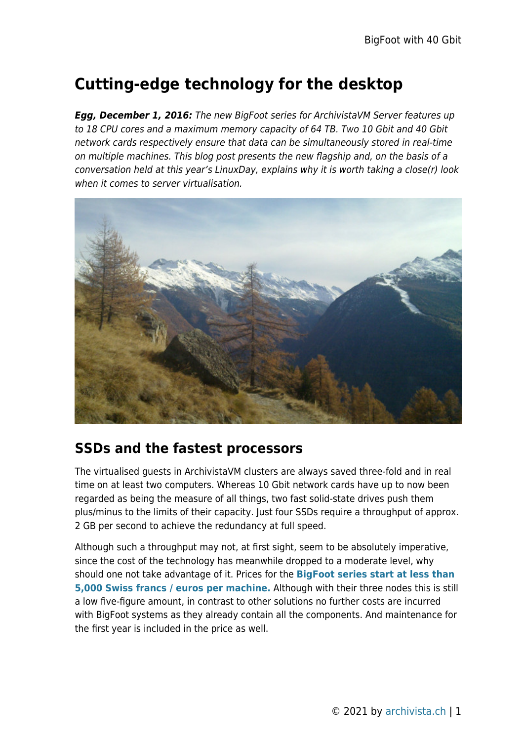## **Cutting-edge technology for the desktop**

*Egg, December 1, 2016:* The new BigFoot series for ArchivistaVM Server features up to 18 CPU cores and a maximum memory capacity of 64 TB. Two 10 Gbit and 40 Gbit network cards respectively ensure that data can be simultaneously stored in real-time on multiple machines. This blog post presents the new flagship and, on the basis of a conversation held at this year's LinuxDay, explains why it is worth taking a close(r) look when it comes to server virtualisation.



## **SSDs and the fastest processors**

The virtualised guests in ArchivistaVM clusters are always saved three-fold and in real time on at least two computers. Whereas 10 Gbit network cards have up to now been regarded as being the measure of all things, two fast solid-state drives push them plus/minus to the limits of their capacity. Just four SSDs require a throughput of approx. 2 GB per second to achieve the redundancy at full speed.

Although such a throughput may not, at first sight, seem to be absolutely imperative, since the cost of the technology has meanwhile dropped to a moderate level, why should one not take advantage of it. Prices for the **[BigFoot series start at less than](http://shop.archivista.ch/oscommunity/catalog/advanced_search_result.php?keywords=bigfoot) [5,000 Swiss francs / euros per machine.](http://shop.archivista.ch/oscommunity/catalog/advanced_search_result.php?keywords=bigfoot)** Although with their three nodes this is still a low five-figure amount, in contrast to other solutions no further costs are incurred with BigFoot systems as they already contain all the components. And maintenance for the first year is included in the price as well.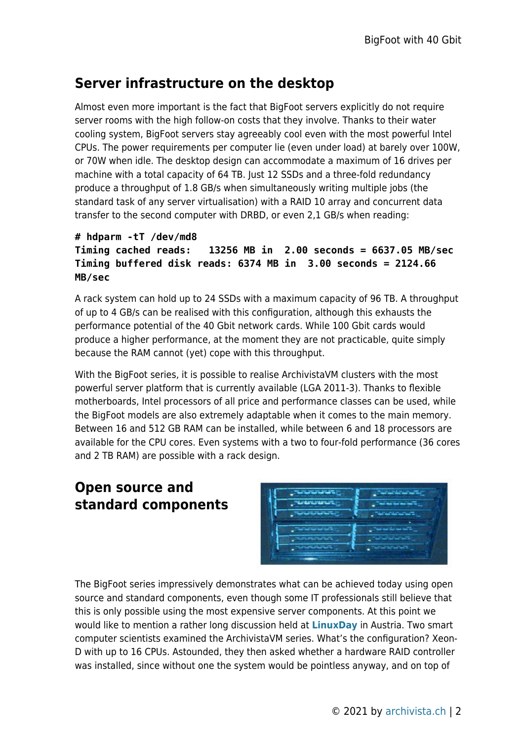## **Server infrastructure on the desktop**

Almost even more important is the fact that BigFoot servers explicitly do not require server rooms with the high follow-on costs that they involve. Thanks to their water cooling system, BigFoot servers stay agreeably cool even with the most powerful Intel CPUs. The power requirements per computer lie (even under load) at barely over 100W, or 70W when idle. The desktop design can accommodate a maximum of 16 drives per machine with a total capacity of 64 TB. Just 12 SSDs and a three-fold redundancy produce a throughput of 1.8 GB/s when simultaneously writing multiple jobs (the standard task of any server virtualisation) with a RAID 10 array and concurrent data transfer to the second computer with DRBD, or even 2,1 GB/s when reading:

```
# hdparm -tT /dev/md8
Timing cached reads: 13256 MB in 2.00 seconds = 6637.05 MB/sec
Timing buffered disk reads: 6374 MB in 3.00 seconds = 2124.66
MB/sec
```
A rack system can hold up to 24 SSDs with a maximum capacity of 96 TB. A throughput of up to 4 GB/s can be realised with this configuration, although this exhausts the performance potential of the 40 Gbit network cards. While 100 Gbit cards would produce a higher performance, at the moment they are not practicable, quite simply because the RAM cannot (yet) cope with this throughput.

With the BigFoot series, it is possible to realise ArchivistaVM clusters with the most powerful server platform that is currently available (LGA 2011-3). Thanks to flexible motherboards, Intel processors of all price and performance classes can be used, while the BigFoot models are also extremely adaptable when it comes to the main memory. Between 16 and 512 GB RAM can be installed, while between 6 and 18 processors are available for the CPU cores. Even systems with a two to four-fold performance (36 cores and 2 TB RAM) are possible with a rack design.

## **Open source and standard components**



The BigFoot series impressively demonstrates what can be achieved today using open source and standard components, even though some IT professionals still believe that this is only possible using the most expensive server components. At this point we would like to mention a rather long discussion held at **[LinuxDay](http://linuxday.at)** in Austria. Two smart computer scientists examined the ArchivistaVM series. What's the configuration? Xeon-D with up to 16 CPUs. Astounded, they then asked whether a hardware RAID controller was installed, since without one the system would be pointless anyway, and on top of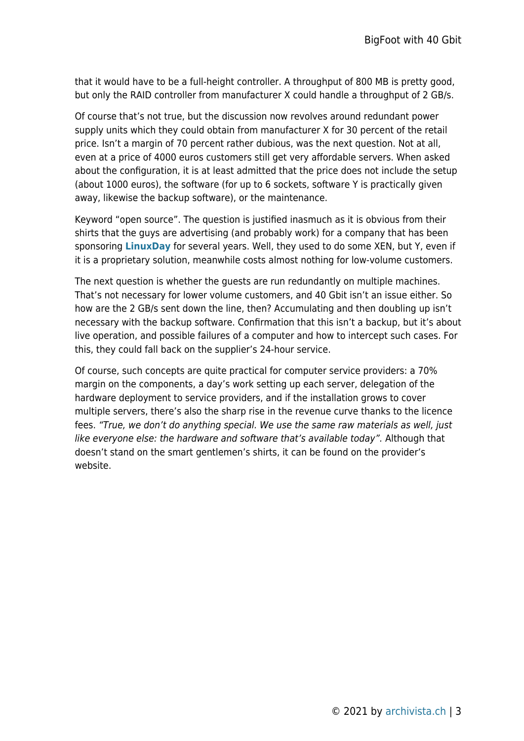that it would have to be a full-height controller. A throughput of 800 MB is pretty good, but only the RAID controller from manufacturer X could handle a throughput of 2 GB/s.

Of course that's not true, but the discussion now revolves around redundant power supply units which they could obtain from manufacturer X for 30 percent of the retail price. Isn't a margin of 70 percent rather dubious, was the next question. Not at all, even at a price of 4000 euros customers still get very affordable servers. When asked about the configuration, it is at least admitted that the price does not include the setup (about 1000 euros), the software (for up to 6 sockets, software Y is practically given away, likewise the backup software), or the maintenance.

Keyword "open source". The question is justified inasmuch as it is obvious from their shirts that the guys are advertising (and probably work) for a company that has been sponsoring **[LinuxDay](http://linuxday.at)** for several years. Well, they used to do some XEN, but Y, even if it is a proprietary solution, meanwhile costs almost nothing for low-volume customers.

The next question is whether the guests are run redundantly on multiple machines. That's not necessary for lower volume customers, and 40 Gbit isn't an issue either. So how are the 2 GB/s sent down the line, then? Accumulating and then doubling up isn't necessary with the backup software. Confirmation that this isn't a backup, but it's about live operation, and possible failures of a computer and how to intercept such cases. For this, they could fall back on the supplier's 24-hour service.

Of course, such concepts are quite practical for computer service providers: a 70% margin on the components, a day's work setting up each server, delegation of the hardware deployment to service providers, and if the installation grows to cover multiple servers, there's also the sharp rise in the revenue curve thanks to the licence fees. "True, we don't do anything special. We use the same raw materials as well, just like everyone else: the hardware and software that's available today". Although that doesn't stand on the smart gentlemen's shirts, it can be found on the provider's website.